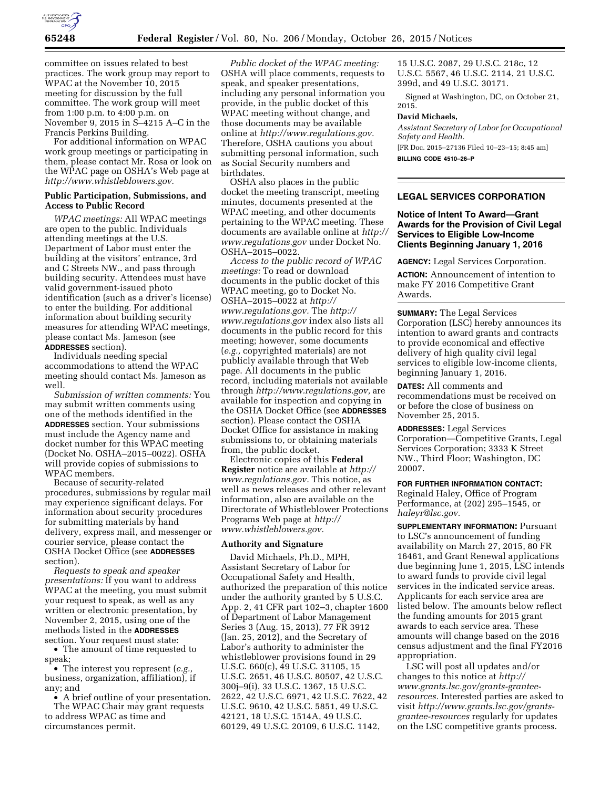

committee on issues related to best practices. The work group may report to WPAC at the November 10, 2015 meeting for discussion by the full committee. The work group will meet from 1:00 p.m. to 4:00 p.m. on November 9, 2015 in S–4215 A–C in the Francis Perkins Building.

For additional information on WPAC work group meetings or participating in them, please contact Mr. Rosa or look on the WPAC page on OSHA's Web page at *[http://www.whistleblowers.gov.](http://www.whistleblowers.gov)* 

#### **Public Participation, Submissions, and Access to Public Record**

*WPAC meetings:* All WPAC meetings are open to the public. Individuals attending meetings at the U.S. Department of Labor must enter the building at the visitors' entrance, 3rd and C Streets NW., and pass through building security. Attendees must have valid government-issued photo identification (such as a driver's license) to enter the building. For additional information about building security measures for attending WPAC meetings, please contact Ms. Jameson (see **ADDRESSES** section).

Individuals needing special accommodations to attend the WPAC meeting should contact Ms. Jameson as well.

*Submission of written comments:* You may submit written comments using one of the methods identified in the **ADDRESSES** section. Your submissions must include the Agency name and docket number for this WPAC meeting (Docket No. OSHA–2015–0022). OSHA will provide copies of submissions to WPAC members.

Because of security-related procedures, submissions by regular mail may experience significant delays. For information about security procedures for submitting materials by hand delivery, express mail, and messenger or courier service, please contact the OSHA Docket Office (see **ADDRESSES** section).

*Requests to speak and speaker presentations:* If you want to address WPAC at the meeting, you must submit your request to speak, as well as any written or electronic presentation, by November 2, 2015, using one of the methods listed in the **ADDRESSES** section. Your request must state:

• The amount of time requested to speak;

• The interest you represent (*e.g.,*  business, organization, affiliation), if any; and

• A brief outline of your presentation. The WPAC Chair may grant requests to address WPAC as time and circumstances permit.

*Public docket of the WPAC meeting:*  OSHA will place comments, requests to speak, and speaker presentations, including any personal information you provide, in the public docket of this WPAC meeting without change, and those documents may be available online at *[http://www.regulations.gov.](http://www.regulations.gov)*  Therefore, OSHA cautions you about submitting personal information, such as Social Security numbers and birthdates.

OSHA also places in the public docket the meeting transcript, meeting minutes, documents presented at the WPAC meeting, and other documents pertaining to the WPAC meeting. These documents are available online at *[http://](http://www.regulations.gov)  [www.regulations.gov](http://www.regulations.gov)* under Docket No. OSHA–2015–0022.

*Access to the public record of WPAC meetings:* To read or download documents in the public docket of this WPAC meeting, go to Docket No. OSHA–2015–0022 at *[http://](http://www.regulations.gov) [www.regulations.gov.](http://www.regulations.gov)* The *[http://](http://www.regulations.gov) [www.regulations.gov](http://www.regulations.gov)* index also lists all documents in the public record for this meeting; however, some documents (*e.g.,* copyrighted materials) are not publicly available through that Web page. All documents in the public record, including materials not available through *[http://www.regulations.gov,](http://www.regulations.gov)* are available for inspection and copying in the OSHA Docket Office (see **ADDRESSES** section). Please contact the OSHA Docket Office for assistance in making submissions to, or obtaining materials from, the public docket.

Electronic copies of this **Federal Register** notice are available at *[http://](http://www.regulations.gov) [www.regulations.gov.](http://www.regulations.gov)* This notice, as well as news releases and other relevant information, also are available on the Directorate of Whistleblower Protections Programs Web page at *[http://](http://www.whistleblowers.gov) [www.whistleblowers.gov.](http://www.whistleblowers.gov)* 

#### **Authority and Signature**

David Michaels, Ph.D., MPH, Assistant Secretary of Labor for Occupational Safety and Health, authorized the preparation of this notice under the authority granted by 5 U.S.C. App. 2, 41 CFR part 102–3, chapter 1600 of Department of Labor Management Series 3 (Aug. 15, 2013), 77 FR 3912 (Jan. 25, 2012), and the Secretary of Labor's authority to administer the whistleblower provisions found in 29 U.S.C. 660(c), 49 U.S.C. 31105, 15 U.S.C. 2651, 46 U.S.C. 80507, 42 U.S.C. 300j–9(i), 33 U.S.C. 1367, 15 U.S.C. 2622, 42 U.S.C. 6971, 42 U.S.C. 7622, 42 U.S.C. 9610, 42 U.S.C. 5851, 49 U.S.C. 42121, 18 U.S.C. 1514A, 49 U.S.C. 60129, 49 U.S.C. 20109, 6 U.S.C. 1142,

15 U.S.C. 2087, 29 U.S.C. 218c, 12 U.S.C. 5567, 46 U.S.C. 2114, 21 U.S.C. 399d, and 49 U.S.C. 30171.

Signed at Washington, DC, on October 21, 2015.

#### **David Michaels,**

*Assistant Secretary of Labor for Occupational Safety and Health.*  [FR Doc. 2015–27136 Filed 10–23–15; 8:45 am]

**BILLING CODE 4510–26–P** 

# **LEGAL SERVICES CORPORATION**

# **Notice of Intent To Award—Grant Awards for the Provision of Civil Legal Services to Eligible Low-Income Clients Beginning January 1, 2016**

**AGENCY:** Legal Services Corporation.

**ACTION:** Announcement of intention to make FY 2016 Competitive Grant Awards.

**SUMMARY:** The Legal Services Corporation (LSC) hereby announces its intention to award grants and contracts to provide economical and effective delivery of high quality civil legal services to eligible low-income clients, beginning January 1, 2016.

**DATES:** All comments and recommendations must be received on or before the close of business on November 25, 2015.

**ADDRESSES:** Legal Services Corporation—Competitive Grants, Legal Services Corporation; 3333 K Street NW., Third Floor; Washington, DC 20007.

#### **FOR FURTHER INFORMATION CONTACT:**

Reginald Haley, Office of Program Performance, at (202) 295–1545, or *[haleyr@lsc.gov.](mailto:haleyr@lsc.gov)* 

**SUPPLEMENTARY INFORMATION: Pursuant** to LSC's announcement of funding availability on March 27, 2015, 80 FR 16461, and Grant Renewal applications due beginning June 1, 2015, LSC intends to award funds to provide civil legal services in the indicated service areas. Applicants for each service area are listed below. The amounts below reflect the funding amounts for 2015 grant awards to each service area. These amounts will change based on the 2016 census adjustment and the final FY2016 appropriation.

LSC will post all updates and/or changes to this notice at *http:// www.grants.lsc.gov/grants-granteeresources.* Interested parties are asked to visit *[http://www.grants.lsc.gov/grants](http://www.grants.lsc.gov/grants-grantee-resources)[grantee-resources](http://www.grants.lsc.gov/grants-grantee-resources)* regularly for updates on the LSC competitive grants process.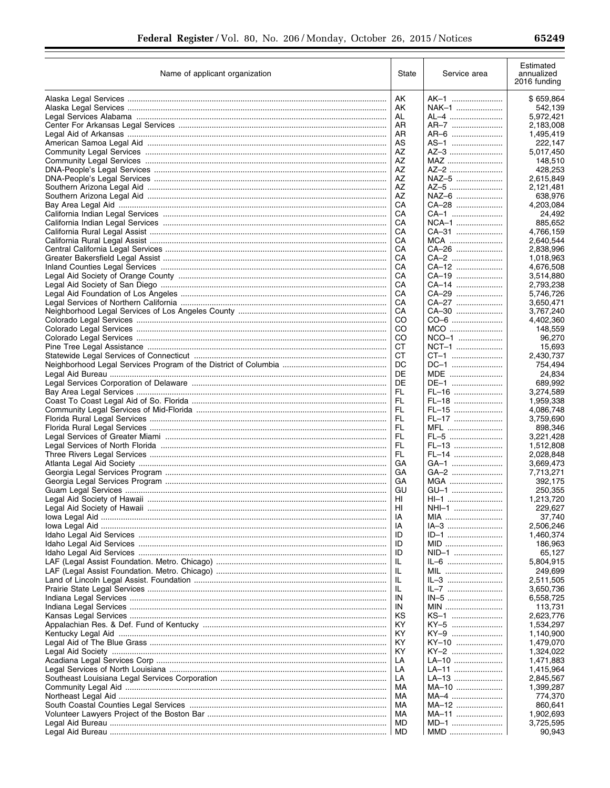| Name of applicant organization | State    | Service area     | Estimated<br>annualized<br>2016 funding |
|--------------------------------|----------|------------------|-----------------------------------------|
|                                | AK       | AK-1             | \$659,864                               |
|                                | AK       | NAK-1            | 542,139                                 |
|                                | AL       | AL-4             | 5,972,421                               |
|                                | AR       | AR-7             | 2,183,008                               |
|                                | AR<br>AS | AR-6<br>AS-1     | 1,495,419<br>222,147                    |
|                                | AZ       | AZ-3             | 5,017,450                               |
|                                | AZ       | MAZ              | 148,510                                 |
|                                | AZ       | AZ-2             | 428,253                                 |
|                                | AZ       | NAZ-5            | 2,615,849                               |
|                                | AZ       | AZ-5             | 2,121,481                               |
|                                | AZ<br>CA | $NAZ-6$<br>CA-28 | 638,976<br>4,203,084                    |
|                                | СA       | CA-1             | 24,492                                  |
|                                | CA       | NCA-1            | 885,652                                 |
|                                | СA       | CA-31            | 4,766,159                               |
|                                | CА       | MCA              | 2,640,544                               |
|                                | СA<br>CА | CA-26<br>CA-2    | 2,838,996<br>1,018,963                  |
|                                | CА       | CA–12            | 4,676,508                               |
|                                | CА       | CA-19            | 3,514,880                               |
|                                | CА       | CA-14            | 2,793,238                               |
|                                | CА       | CA-29            | 5,746,726                               |
|                                | CА       | CA-27            | 3,650,471                               |
|                                | CА<br>CO | CA-30<br>CO-6    | 3,767,240<br>4,402,360                  |
|                                | CO       | MCO              | 148,559                                 |
|                                | CO       | NCO-1            | 96,270                                  |
|                                | СT       | NCT-1            | 15.693                                  |
|                                | СT       | CT-1             | 2,430,737                               |
|                                | DC<br>DE | DC-1             | 754,494                                 |
|                                | DE       | MDE<br>DE-1      | 24,834<br>689,992                       |
|                                | FL       | FL-16            | 3,274,589                               |
|                                | FL       | FL-18            | 1,959,338                               |
|                                | FL.      | FL-15            | 4,086,748                               |
|                                | FL       | FL-17            | 3,759,690                               |
|                                | FL<br>FL | MFL<br>FL-5      | 898,346<br>3,221,428                    |
|                                | FL       | FL-13            | 1,512,808                               |
|                                | FL       | FL-14            | 2,028,848                               |
|                                | GА       | GA-1             | 3,669,473                               |
|                                | GА       | GA-2             | 7,713,271                               |
|                                | GА<br>GU | MGA              | 392,175                                 |
|                                | HI       | GU-1<br>HI-1     | 250,355<br>1,213,720                    |
|                                | HI       | NHI-1            | 229,627                                 |
|                                | IA       | MIA              | 37,740                                  |
|                                | IA       | IA-3             | 2,506,246                               |
|                                | ID       | ID-1             | 1,460,374                               |
|                                | ID<br>ID | MID<br>NID-1     | 186,963<br>65,127                       |
|                                | IL       | IL-6             | 5,804,915                               |
|                                | IL       | MIL              | 249,699                                 |
|                                | IL       | IL-3             | 2,511,505                               |
|                                | -lL      | IL-7             | 3,650,736                               |
|                                | IN       | IN-5             | 6,558,725                               |
|                                | IN<br>ΚS | MIN<br>KS-1      | 113,731<br>2,623,776                    |
|                                | ΚY       | KY-5             | 1,534,297                               |
|                                | ΚY       | KY-9             | 1,140,900                               |
|                                | KY       | KY-10            | 1,479,070                               |
|                                | ΚY       | KY-2             | 1,324,022                               |
|                                | LA<br>LA | LA–10<br>LA–11   | 1,471,883<br>1,415,964                  |
|                                | LA       | LA-13            | 2,845,567                               |
|                                | МA       | MA-10            | 1,399,287                               |
|                                | МA       | MA-4             | 774,370                                 |
|                                | МA       | MA-12            | 860,641                                 |
|                                | МA<br>MD | MA-11            | 1,902,693                               |
|                                | MD       | MD-1<br>MMD      | 3,725,595<br>90,943                     |
|                                |          |                  |                                         |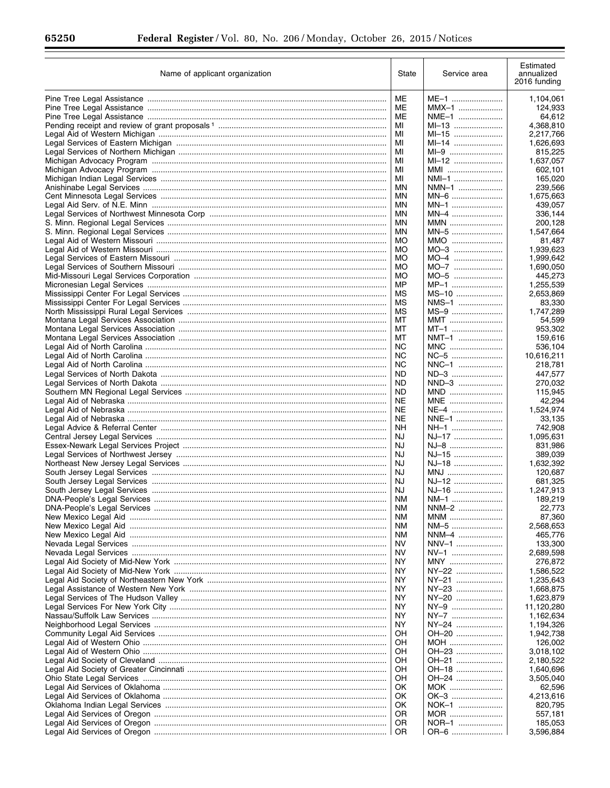$\equiv$ 

| Name of applicant organization                                      | State           | Service area   | Estimated<br>annualized<br>2016 funding |
|---------------------------------------------------------------------|-----------------|----------------|-----------------------------------------|
|                                                                     | MЕ              | ME-1           | 1,104,061                               |
|                                                                     | ME              | $MMX-1$        | 124,933                                 |
|                                                                     | ME              | NME-1          | 64,612                                  |
|                                                                     | MI              | MI-13          | 4,368,810                               |
|                                                                     | МI              | MI-15          | 2,217,766                               |
|                                                                     | МI              | MI-14          | 1,626,693                               |
|                                                                     | MI              | $MI-9$         | 815,225                                 |
|                                                                     | MI<br>MI        | MI-12<br>MMI   | 1,637,057                               |
|                                                                     | МI              | NMI-1          | 602,101<br>165,020                      |
|                                                                     | ΜN              | NMN-1          | 239,566                                 |
|                                                                     | ΜN              | MN-6           | 1,675,663                               |
|                                                                     | ΜN              | MN-1           | 439,057                                 |
|                                                                     | ΜN              | MN-4           | 336,144                                 |
|                                                                     | ΜN              | MMN            | 200,128                                 |
|                                                                     | ΜN              | MN-5           | 1,547,664                               |
|                                                                     | МO              | MMO            | 81,487                                  |
|                                                                     | MO<br><b>MO</b> | MO-3           | 1,939,623                               |
|                                                                     | МO              | MO-4<br>$MO-7$ | 1,999,642<br>1,690,050                  |
|                                                                     | MO              | MO-5           | 445,273                                 |
|                                                                     | MP              | $MP-1$         | 1,255,539                               |
|                                                                     | ΜS              | $MS-10$        | 2,653,869                               |
|                                                                     | МS              | NMS-1          | 83,330                                  |
|                                                                     | МS              | MS-9           | 1,747,289                               |
|                                                                     | МT              | MMT            | 54,599                                  |
|                                                                     | МT              | MT-1           | 953,302                                 |
|                                                                     | МT              | NMT-1          | 159,616                                 |
|                                                                     | ΝC<br>NC        | MNC<br>NC-5    | 536,104<br>10,616,211                   |
|                                                                     | ΝC              | NNC-1          | 218,781                                 |
|                                                                     | ND              | ND-3           | 447,577                                 |
|                                                                     | ND              | NND-3          | 270,032                                 |
|                                                                     | ND              | MND            | 115,945                                 |
|                                                                     | NE              | MNE            | 42,294                                  |
|                                                                     | NE              | NE-4           | 1,524,974                               |
|                                                                     | NE              | NNE-1          | 33,135                                  |
|                                                                     | ΝH<br>NJ.       | NH-1<br>NJ-17  | 742,908                                 |
| Central Jersey Legal Services …………………………………………………………………………………………    | NJ              | NJ-8           | 1,095,631<br>831,986                    |
|                                                                     | NJ              | NJ-15          | 389,039                                 |
|                                                                     | NJ              | NJ-18          | 1,632,392                               |
|                                                                     | NJ              | MNJ            | 120,687                                 |
|                                                                     | NJ              | NJ-12          | 681,325                                 |
|                                                                     | NJ.             | NJ-16          | 1,247,913                               |
|                                                                     | NM              | NM-1           | 189,219                                 |
| DNA-People's Legal Services ………………………………………………………………………………………       | NΜ              | NNM-2          | 22,773                                  |
|                                                                     | ΝM<br><b>NM</b> | MNM<br>NM-5    | 87,360                                  |
|                                                                     | ΝM              | NNM-4          | 2,568,653<br>465,776                    |
|                                                                     | NV              | NNV-1          | 133,300                                 |
|                                                                     | NV              | NV-1           | 2,689,598                               |
|                                                                     | NY              | MNY            | 276,872                                 |
| Legal Aid Society of Mid-New York …………………………………………………………………………………   | ΝY              | NY-22          | 1,586,522                               |
|                                                                     | ΝY              | NY-21          | 1,235,643                               |
| Legal Assistance of Western New York ……………………………………………………………………………… | ΝY              | NY-23          | 1,668,875                               |
|                                                                     | ΝY              | NY-20          | 1,623,879                               |
|                                                                     | ΝY<br>ΝY        | NY-9<br>NY-7   | 11,120,280<br>1,162,634                 |
| Neighborhood Legal Services …………………………………………………………………………………………      | ΝY              | NY-24          | 1,194,326                               |
| Community Legal Aid Services ………………………………………………………………………………………      | OН              | OH-20          | 1,942,738                               |
|                                                                     | OН              | MOH            | 126,002                                 |
|                                                                     | OН              | OH-23          | 3,018,102                               |
|                                                                     | OН              | OH-21          | 2,180,522                               |
|                                                                     | OН              | OH-18          | 1,640,696                               |
|                                                                     | OН              | OH-24          | 3,505,040                               |
|                                                                     | ΟK              | MOK            | 62,596                                  |
|                                                                     | ΟK<br>OK        | OK-3<br>NOK-1  | 4,213,616<br>820,795                    |
|                                                                     | OR              | MOR            | 557,181                                 |
|                                                                     | OR              | NOR-1          | 185,053                                 |
|                                                                     | 0R              | OR-6           | 3,596,884                               |